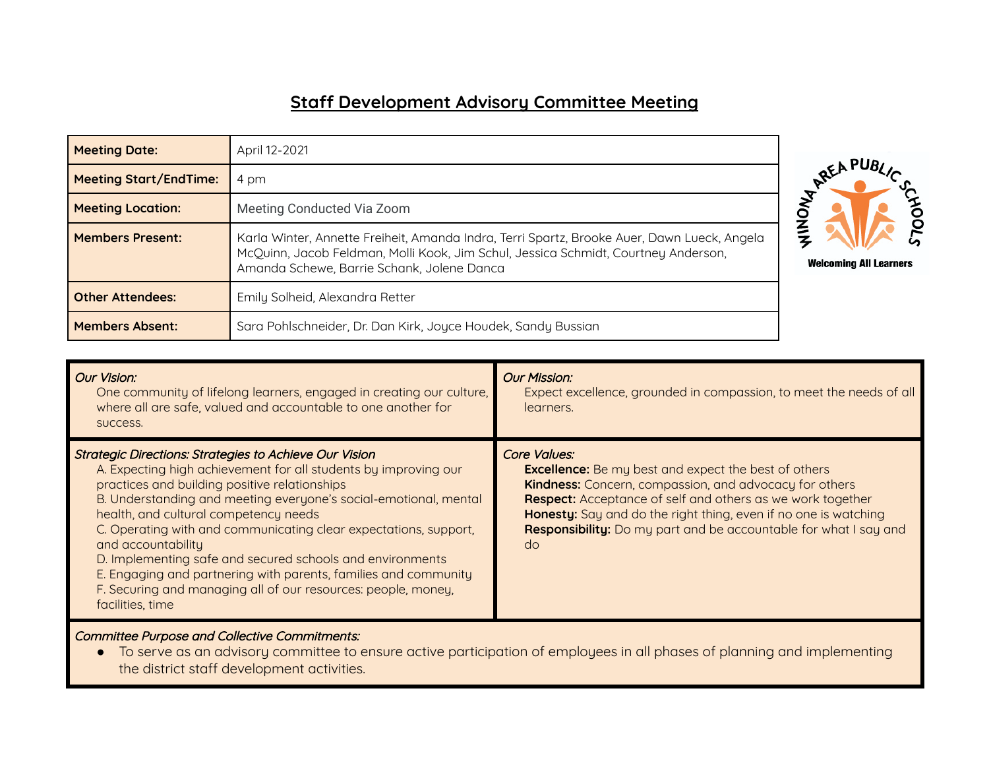## **Staff Development Advisory Committee Meeting**

| <b>Meeting Date:</b>          | April 12-2021                                                                                                                                                                                                                                                    |  |
|-------------------------------|------------------------------------------------------------------------------------------------------------------------------------------------------------------------------------------------------------------------------------------------------------------|--|
| <b>Meeting Start/EndTime:</b> | 4 pm                                                                                                                                                                                                                                                             |  |
| <b>Meeting Location:</b>      | Meeting Conducted Via Zoom                                                                                                                                                                                                                                       |  |
| <b>Members Present:</b>       | Karla Winter, Annette Freiheit, Amanda Indra, Terri Spartz, Brooke Auer, Dawn Lueck, Angela<br>McQuinn, Jacob Feldman, Molli Kook, Jim Schul, Jessica Schmidt, Courtney Anderson,<br><b>Welcoming All Learners</b><br>Amanda Schewe, Barrie Schank, Jolene Danca |  |
| <b>Other Attendees:</b>       | Emily Solheid, Alexandra Retter                                                                                                                                                                                                                                  |  |
| <b>Members Absent:</b>        | Sara Pohlschneider, Dr. Dan Kirk, Joyce Houdek, Sandy Bussian                                                                                                                                                                                                    |  |



Committee Purpose and Collective Commitments:

● To serve as an advisory committee to ensure active participation of employees in all phases of planning and implementing the district staff development activities.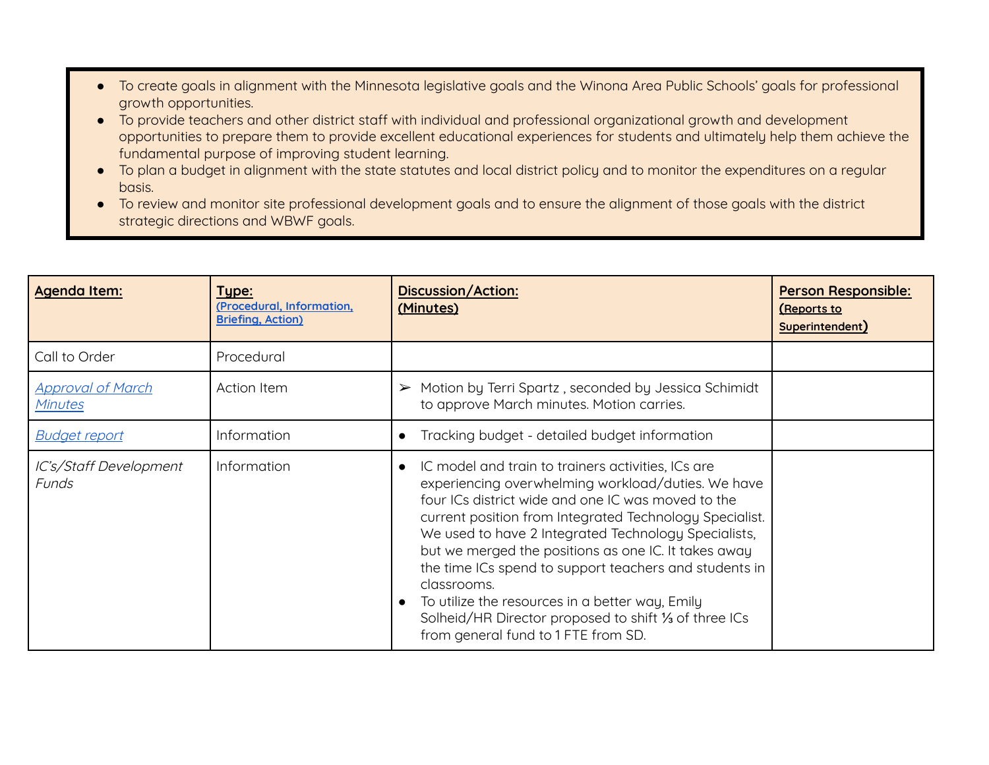- To create goals in alignment with the Minnesota legislative goals and the Winona Area Public Schools' goals for professional growth opportunities.
- To provide teachers and other district staff with individual and professional organizational growth and development opportunities to prepare them to provide excellent educational experiences for students and ultimately help them achieve the fundamental purpose of improving student learning.
- To plan a budget in alignment with the state statutes and local district policy and to monitor the expenditures on a regular basis.
- To review and monitor site professional development goals and to ensure the alignment of those goals with the district strategic directions and WBWF goals.

| Agenda Item:                        | Type:<br>(Procedural, Information,<br><b>Briefing, Action)</b> | <b>Discussion/Action:</b><br>(Minutes)                                                                                                                                                                                                                                                                                                                                                                                                                                                                                                                                 | Person Responsible:<br>(Reports to<br>Superintendent) |
|-------------------------------------|----------------------------------------------------------------|------------------------------------------------------------------------------------------------------------------------------------------------------------------------------------------------------------------------------------------------------------------------------------------------------------------------------------------------------------------------------------------------------------------------------------------------------------------------------------------------------------------------------------------------------------------------|-------------------------------------------------------|
| Call to Order                       | Procedural                                                     |                                                                                                                                                                                                                                                                                                                                                                                                                                                                                                                                                                        |                                                       |
| <b>Approval of March</b><br>Minutes | <b>Action Item</b>                                             | Motion by Terri Spartz, seconded by Jessica Schimidt<br>$\blacktriangleright$<br>to approve March minutes. Motion carries.                                                                                                                                                                                                                                                                                                                                                                                                                                             |                                                       |
| <b>Budget report</b>                | Information                                                    | Tracking budget - detailed budget information                                                                                                                                                                                                                                                                                                                                                                                                                                                                                                                          |                                                       |
| IC's/Staff Development<br>Funds     | Information                                                    | IC model and train to trainers activities, ICs are<br>experiencing overwhelming workload/duties. We have<br>four ICs district wide and one IC was moved to the<br>current position from Integrated Technology Specialist.<br>We used to have 2 Integrated Technology Specialists,<br>but we merged the positions as one IC. It takes away<br>the time ICs spend to support teachers and students in<br>classrooms.<br>To utilize the resources in a better way, Emily<br>Solheid/HR Director proposed to shift 1/3 of three ICs<br>from general fund to 1 FTE from SD. |                                                       |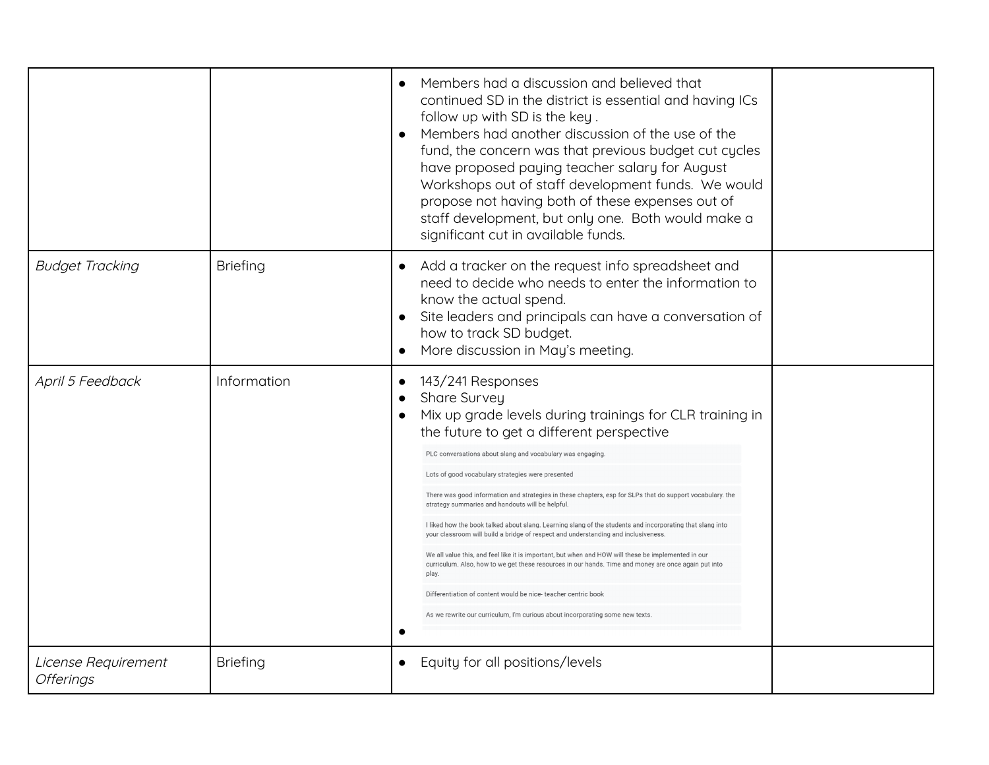|                                         |                 | Members had a discussion and believed that<br>continued SD in the district is essential and having ICs<br>follow up with SD is the key.<br>Members had another discussion of the use of the<br>fund, the concern was that previous budget cut cycles<br>have proposed paying teacher salary for August<br>Workshops out of staff development funds. We would<br>propose not having both of these expenses out of<br>staff development, but only one. Both would make a<br>significant cut in available funds.                                                                                                                                                                                                                                                                                                                                                                                                                                                                           |  |
|-----------------------------------------|-----------------|-----------------------------------------------------------------------------------------------------------------------------------------------------------------------------------------------------------------------------------------------------------------------------------------------------------------------------------------------------------------------------------------------------------------------------------------------------------------------------------------------------------------------------------------------------------------------------------------------------------------------------------------------------------------------------------------------------------------------------------------------------------------------------------------------------------------------------------------------------------------------------------------------------------------------------------------------------------------------------------------|--|
| <b>Budget Tracking</b>                  | <b>Briefing</b> | Add a tracker on the request info spreadsheet and<br>need to decide who needs to enter the information to<br>know the actual spend.<br>Site leaders and principals can have a conversation of<br>how to track SD budget.<br>More discussion in May's meeting.                                                                                                                                                                                                                                                                                                                                                                                                                                                                                                                                                                                                                                                                                                                           |  |
| April 5 Feedback                        | Information     | 143/241 Responses<br>Share Survey<br>Mix up grade levels during trainings for CLR training in<br>the future to get a different perspective<br>PLC conversations about slang and vocabulary was engaging<br>Lots of good vocabulary strategies were presented<br>There was good information and strategies in these chapters, esp for SLPs that do support vocabulary.<br>strategy summaries and handouts will be helpful<br>I liked how the book talked about slang. Learning slang of the students and incorporating that slang into<br>your classroom will build a bridge of respect and understanding and inclusiveness<br>We all value this, and feel like it is important, but when and HOW will these be implem<br>curriculum. Also, how to we get these resources in our hands. Time and money are once again put into<br>play.<br>Differentiation of content would be nice-teacher centric book<br>As we rewrite our curriculum, I'm curious about incorporating some new texts |  |
| License Requirement<br><b>Offerings</b> | <b>Briefing</b> | Equity for all positions/levels<br>$\bullet$                                                                                                                                                                                                                                                                                                                                                                                                                                                                                                                                                                                                                                                                                                                                                                                                                                                                                                                                            |  |